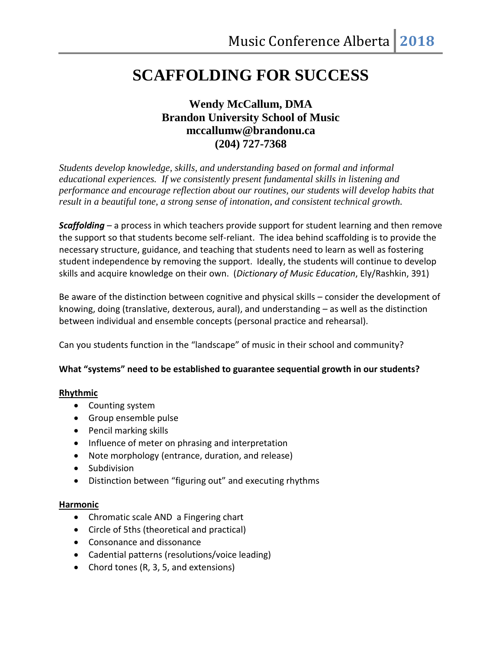# **SCAFFOLDING FOR SUCCESS**

# **Wendy McCallum, DMA Brandon University School of Music mccallumw@brandonu.ca (204) 727-7368**

*Students develop knowledge, skills, and understanding based on formal and informal educational experiences. If we consistently present fundamental skills in listening and performance and encourage reflection about our routines, our students will develop habits that result in a beautiful tone, a strong sense of intonation, and consistent technical growth.*

*Scaffolding* – a process in which teachers provide support for student learning and then remove the support so that students become self-reliant. The idea behind scaffolding is to provide the necessary structure, guidance, and teaching that students need to learn as well as fostering student independence by removing the support. Ideally, the students will continue to develop skills and acquire knowledge on their own. (*Dictionary of Music Education*, Ely/Rashkin, 391)

Be aware of the distinction between cognitive and physical skills – consider the development of knowing, doing (translative, dexterous, aural), and understanding – as well as the distinction between individual and ensemble concepts (personal practice and rehearsal).

Can you students function in the "landscape" of music in their school and community?

# **What "systems" need to be established to guarantee sequential growth in our students?**

# **Rhythmic**

- Counting system
- Group ensemble pulse
- Pencil marking skills
- Influence of meter on phrasing and interpretation
- Note morphology (entrance, duration, and release)
- Subdivision
- Distinction between "figuring out" and executing rhythms

# **Harmonic**

- Chromatic scale AND a Fingering chart
- Circle of 5ths (theoretical and practical)
- Consonance and dissonance
- Cadential patterns (resolutions/voice leading)
- Chord tones (R, 3, 5, and extensions)